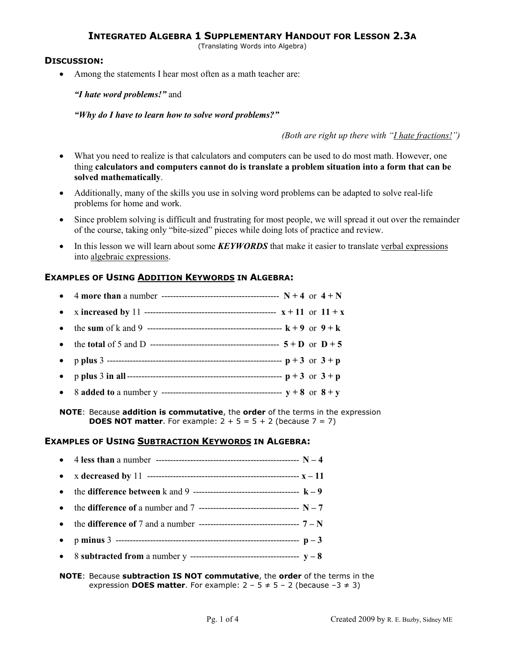(Translating Words into Algebra)

### **DISCUSSION:**

• Among the statements I hear most often as a math teacher are:

*"I hate word problems!"* and

*"Why do I have to learn how to solve word problems?"*

*(Both are right up there with "I hate fractions!")* 

- What you need to realize is that calculators and computers can be used to do most math. However, one thing **calculators and computers cannot do is translate a problem situation into a form that can be solved mathematically**.
- Additionally, many of the skills you use in solving word problems can be adapted to solve real-life problems for home and work.
- Since problem solving is difficult and frustrating for most people, we will spread it out over the remainder of the course, taking only "bite-sized" pieces while doing lots of practice and review.
- In this lesson we will learn about some *KEYWORDS* that make it easier to translate verbal expressions into algebraic expressions.

## **EXAMPLES OF USING ADDITION KEYWORDS IN ALGEBRA:**

**NOTE**: Because **addition is commutative**, the **order** of the terms in the expression **DOES NOT matter**. For example:  $2 + 5 = 5 + 2$  (because  $7 = 7$ )

#### **EXAMPLES OF USING SUBTRACTION KEYWORDS IN ALGEBRA:**

**NOTE**: Because **subtraction IS NOT commutative**, the **order** of the terms in the expression **DOES matter**. For example:  $2 - 5 \neq 5 - 2$  (because  $-3 \neq 3$ )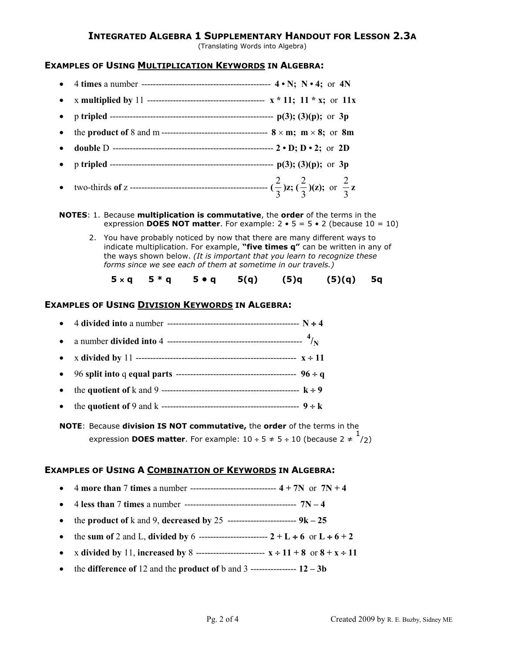(Translating Words into Algebra)

#### **EXAMPLES OF USING MULTIPLICATION KEYWORDS IN ALGEBRA:**

- 4 **times** a number --------------------------------------------- **4 N; N 4;** or **4N**
- x **multiplied by** 11 ----------------------------------------- **x \* 11; 11 \* x;** or **11x**
- p **tripled** --------------------------------------------------------- **p(3); (3)(p);** or **3p**
- the **product of** 8 and m ------------------------------------- **8** × **m; m** × **8;** or **8m**
- **double** D -------------------------------------------------------- **2 D; D 2;** or **2D**
- p **tripled** --------------------------------------------------------- **p(3); (3)(p);** or **3p**
- two-thirds **of** z ------------------------------------------------ **(** 3  $\frac{2}{5}$ )z; ( 3  $\frac{2}{5}$ )(z); or 3  $\frac{2}{2}$  z

**NOTES**: 1. Because **multiplication is commutative**, the **order** of the terms in the expression **DOES NOT matter**. For example:  $2 \cdot 5 = 5 \cdot 2$  (because  $10 = 10$ )

 2. You have probably noticed by now that there are many different ways to indicate multiplication. For example, **"five times q"** can be written in any of the ways shown below. *(It is important that you learn to recognize these forms since we see each of them at sometime in our travels.)*

**5** × **q 5 \* q 5 • q 5(q) (5)q (5)(q) 5q** 

#### **EXAMPLES OF USING DIVISION KEYWORDS IN ALGEBRA:**

**NOTE**: Because **division IS NOT commutative,** the **order** of the terms in the expression **DOES matter**. For example:  $10 \div 5 \neq 5 \div 10$  (because  $2 \neq \frac{1}{2}$ )

## **EXAMPLES OF USING A COMBINATION OF KEYWORDS IN ALGEBRA:**

- 4 **more than** 7 **times** a number ------------------------------ **4 + 7N** or **7N + 4**
- 4 **less than** 7 **times** a number --------------------------------------- **7N 4**
- the **product of**  $k$  and  $9$ , **decreased by**  $25$  --------------------------  $9k 25$
- the sum of 2 and L, divided by 6 ------------------------------  $2 + L \div 6$  or  $L \div 6 + 2$
- **x** divided by 11, increased by 8 -------------------------  $x \div 11 + 8$  or  $8 + x \div 11$
- the **difference of** 12 and the **product of** b and 3 ---------------- **12 3b**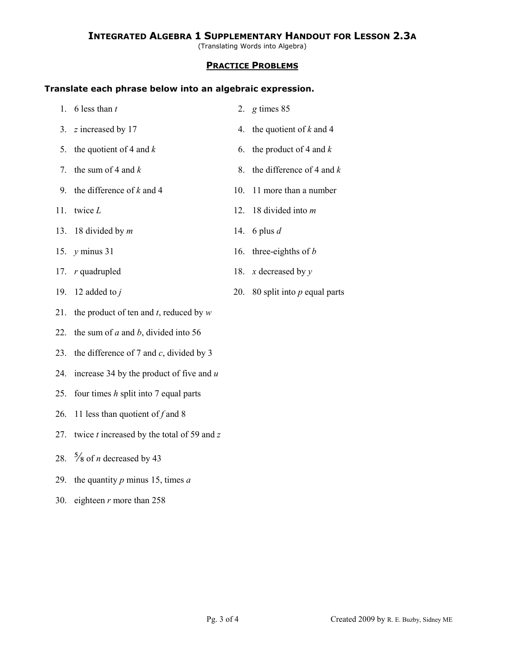(Translating Words into Algebra)

#### **PRACTICE PROBLEMS**

#### **Translate each phrase below into an algebraic expression.**

| 1. 6 less than $t$                              | 2. $g \times 85$                  |
|-------------------------------------------------|-----------------------------------|
| 3. $z$ increased by 17                          | 4. the quotient of $k$ and 4      |
| 5. the quotient of 4 and $k$                    | 6. the product of 4 and $k$       |
| 7. the sum of 4 and $k$                         | 8. the difference of 4 and $k$    |
| 9. the difference of $k$ and 4                  | 10. 11 more than a number         |
| 11. twice $L$                                   | 12. 18 divided into $m$           |
| 13. 18 divided by $m$                           | 14. 6 plus $d$                    |
| 15. $y$ minus 31                                | 16. three-eighths of <i>b</i>     |
| 17. $r$ quadrupled                              | 18. x decreased by $y$            |
| 19. 12 added to $j$                             | 20. 80 split into $p$ equal parts |
| 21. the product of ten and $t$ , reduced by $w$ |                                   |
| 22. the sum of a and b, divided into 56         |                                   |

- 23. the difference of 7 and *c*, divided by 3
- 24. increase 34 by the product of five and *u*
- 25. four times *h* split into 7 equal parts
- 26. 11 less than quotient of *f* and 8
- 27. twice *t* increased by the total of 59 and *z*
- 28.  $\frac{5}{8}$  of *n* decreased by 43
- 29. the quantity *p* minus 15, times *a*
- 30. eighteen *r* more than 258